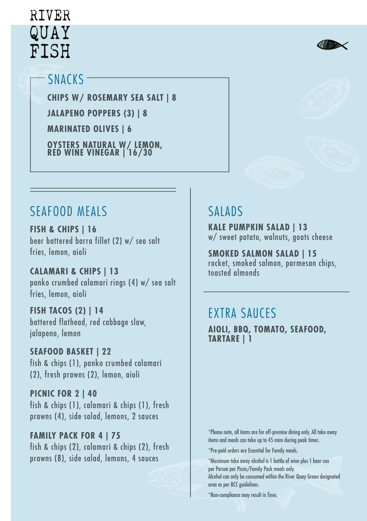# RIVER QUAY FISH



### SNACKS

**CHIPS W/ ROSEMARY SEA SALT | 8 JALAPENO POPPERS (3) | 8 MARINATED OLIVES | 6 OYSTERS NATURAL W/ LEMON, RED WINE VINEGAR | 16/30**

### SEAFOOD MEALS SALADS

**FISH & CHIPS | 16** beer battered barra fillet (2) w/ sea salt fries, lemon, aioli

**CALAMARI & CHIPS | 13** panko crumbed calamari rings (4) w/ sea salt fries, lemon, aioli

**FISH TACOS (2) | 14** battered flathead, red cabbage slaw, jalapeno, lemon

**SEAFOOD BASKET | 22** fish & chips (1), panko crumbed calamari (2), fresh prawns (2), lemon, aioli

**PICNIC FOR 2 | 40** fish & chips (1), calamari & chips (1), fresh prawns (4), side salad, lemons, 2 sauces

### **FAMILY PACK FOR 4 | 75** fish & chips (2), calamari & chips (2), fresh prawns (8), side salad, lemons, 4 sauces

**KALE PUMPKIN SALAD | 13** w/ sweet potato, walnuts, goats cheese

**SMOKED SALMON SALAD | 15** rocket, smoked salmon, parmesan chips, toasted almonds

## EXTRA SAUCES

**AIOLI, BBQ, TOMATO, SEAFOOD, TARTARE | 1**

\*Please note, all items are for off-premise dining only. All take away items and meals can take up to 45 mins during peak times.

\*Pre-paid orders are Essential for Family meals.

\*Maximum take away alcohol is 1 bottle of wine plus 1 beer can per Person per Picnic/Family Pack meals only.

Alcohol can only be consumed within the River Quay Green designated area as per BCC guidelines.

\*Non-compliance may result in fines.